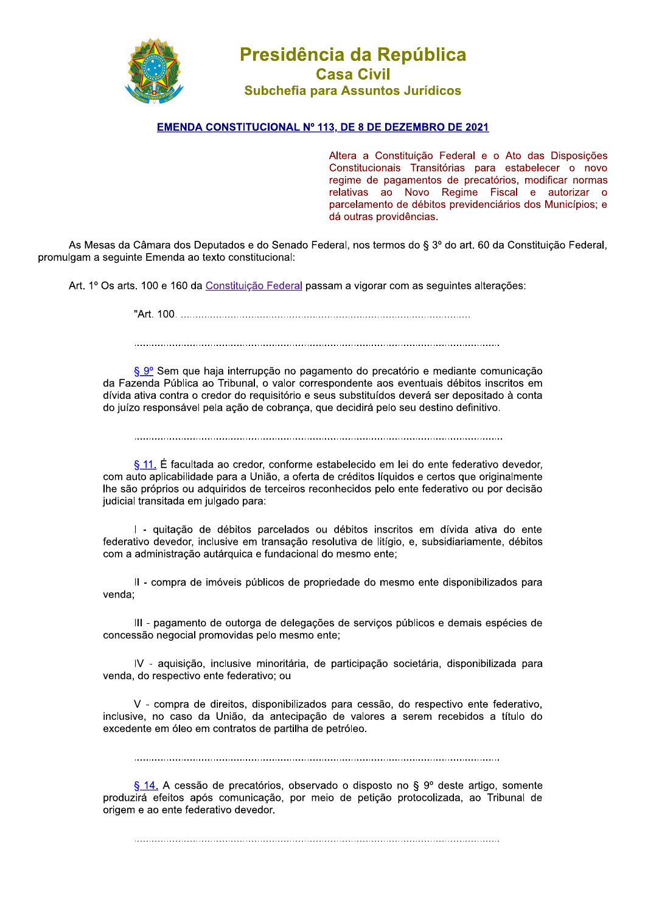

## Presidencia da Republica Casa Civil Subchefia para Assuntos Jurídicos **Presidência da Repúbl<br>
Casa Civil<br>
Subchefia para Assuntos Jurídi<br>
STITUCIONAL Nº 113, DE 8 DE DEZEMBRO<br>
Altera a Constituição<br>
Constitucionais Transi<br>
regime de pagamentos<br>
relativas ao Novo<br>
parcelamento de débito<br>
dá o**

## <u>EMENDA CONSTITUCIONAL Nº 113, DE 8 DE DEZEMBRO DE 2021</u>

Altera a Constituição Federal e o Ato das Disposições Constitucionais Transitórias para estabelecer o novo regime de pagamentos de precatórios, modificar normas relativas ao Novo Regime Fiscal e autorizar o parcelamento de débitos previdenciários dos Municípios; e dá outras providências.

As Mesas da Câmara dos Deputados e do Senado Federal, nos termos do § 3º do art. 60 da Constituição Federal, promulgam a sequinte Emenda ao texto constitucional:

Art. 1º Os arts. 100 e 160 da Constituição Federal passam a vigorar com as seguintes alterações:

a.20T4\_[[T4TTTTTTTTTTTTTTTTTTTTTTTTTTTTTTTTTTTTTTTTTTTTTTTTTTTTTTTTTTTTTTTTTTTTTTTTTTTTTTTTTTTTTTTTTTTTTTTTTTT

TTTTTTTTTTTTTTTTTTTTTTTTTTTTTTTTTTTTTTTTTTTTTTTTTTTTTTTTTTTTTTTTTTTTTTTTTTTTTTTTTTTTTTTTTTTTTTTTTTTTTTTTTTTTTTTTTTTTTTTTTTTTT

§ 9º Sem que haja interrupção no pagamento do precatório e mediante comunicação da Fazenda Pública ao Tribunal, o valor correspondente aos eventuais débitos inscritos em dívida ativa contra o credor do requisitório e seus substituídos deverá ser depositado à conta do juízo responsável pela ação de cobranca, que decidirá pelo seu destino definitivo.

TTTTTTTTTTTTTTTTTTTTTTTTTTTTTTTTTTTTTTTTTTTTTTTTTTTTTTTTTTTTTTTTTTTTTTTTTTTTTTTTTTTTTTTTTTTTTTTTTTTTTTTTTTTTTTTTTTTTTTTTTTTTTT

 $\S$  11. É facultada ao credor, conforme estabelecido em lei do ente federativo devedor, com auto aplicabilidade para a União, a oferta de créditos líquidos e certos que originalmente lhe são próprios ou adquiridos de terceiros reconhecidos pelo ente federativo ou por decisão judicial transitada em julgado para:

I - quitação de débitos parcelados ou débitos inscritos em dívida ativa do ente federativo devedor, inclusive em transação resolutiva de litígio, e, subsidiariamente, débitos com a administração autárquica e fundacional do mesmo ente:

Il - compra de imóveis públicos de propriedade do mesmo ente disponibilizados para venda:

III - pagamento de outorga de delegações de serviços públicos e demais espécies de concessão negocial promovidas pelo mesmo ente:

IV - aquisição, inclusive minoritária, de participação societária, disponibilizada para venda, do respectivo ente federativo; ou

V - compra de direitos, disponibilizados para cessão, do respectivo ente federativo, inclusive, no caso da União, da antecipação de valores a serem recebidos a título do excedente em óleo em contratos de partilha de petróleo.

TTTTTTTTTTTTTTTTTTTTTTTTTTTTTTTTTTTTTTTTTTTTTTTTTTTTTTTTTTTTTTTTTTTTTTTTTTTTTTTTTTTTTTTTTTTTTTTTTTTTTTTTTTTTTTTTTTTTTTTTTTTTT

§ 14. A cessão de precatórios, observado o disposto no § 9º deste artigo, somente produzirá efeitos após comunicação, por meio de petição protocolizada, ao Tribunal de origem e ao ente federativo devedor.

TTTTTTTTTTTTTTTTTTTTTTTTTTTTTTTTTTTTTTTTTTTTTTTTTTTTTTTTTTTTTTTTTTTTTTTTTTTTTTTTTTTTTTTTTTTTTTTTTTTTTTTTTTTTTTTTTTTTTTTTTTTTT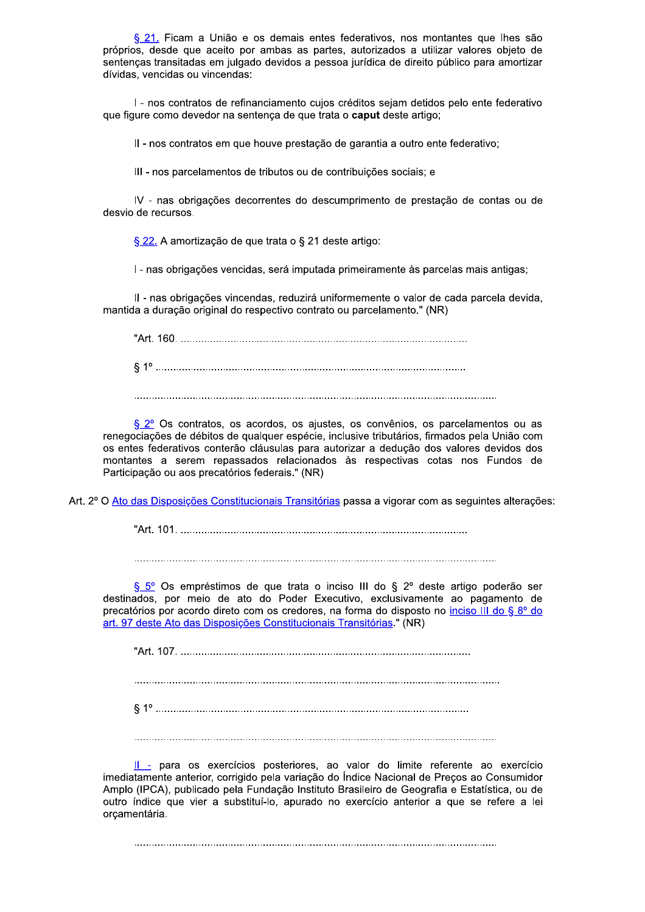§ 21. Ficam a União e os demais entes federativos, nos montantes que lhes são próprios, desde que aceito por ambas as partes, autorizados a utilizar valores objeto de sentenças transitadas em julgado devidos a pessoa jurídica de direito público para amortizar dívidas, vencidas ou vincendas:

I - nos contratos de refinanciamento cujos créditos sejam detidos pelo ente federativo que figure como devedor na sentença de que trata o caput deste artigo;

II - nos contratos em que houve prestação de garantia a outro ente federativo;

III - nos parcelamentos de tributos ou de contribuições sociais; e

IV - nas obrigações decorrentes do descumprimento de prestação de contas ou de desvio de recursos.

§ 22. A amortização de que trata o § 21 deste artigo:

I - nas obrigações vencidas, será imputada primeiramente às parcelas mais antigas;

II - nas obrigações vincendas, reduzirá uniformemente o valor de cada parcela devida, mantida a duração original do respectivo contrato ou parcelamento." (NR)

§ 2º Os contratos, os acordos, os ajustes, os convênios, os parcelamentos ou as renegociações de débitos de qualquer espécie, inclusive tributários, firmados pela União com os entes federativos conterão cláusulas para autorizar a dedução dos valores devidos dos montantes a serem repassados relacionados às respectivas cotas nos Fundos de Participação ou aos precatórios federais." (NR)

Art. 2º O Ato das Disposições Constitucionais Transitórias passa a vigorar com as seguintes alterações:

§ 5° Os empréstimos de que trata o inciso III do § 2° deste artigo poderão ser destinados, por meio de ato do Poder Executivo, exclusivamente ao pagamento de precatórios por acordo direto com os credores, na forma do disposto no inciso III do § 8º do art. 97 deste Ato das Disposições Constitucionais Transitórias " (NR)

II - para os exercícios posteriores, ao valor do limite referente ao exercício imediatamente anterior, corrigido pela variação do Índice Nacional de Precos ao Consumidor Amplo (IPCA), publicado pela Fundação Instituto Brasileiro de Geografia e Estatística, ou de outro índice que vier a substituí-lo, apurado no exercício anterior a que se refere a lei orcamentária.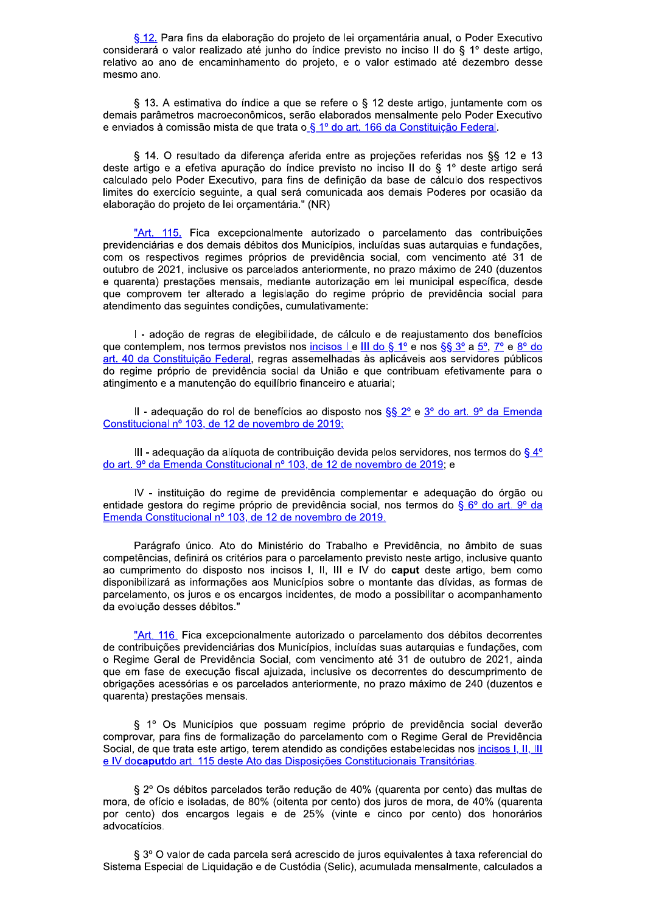§ 12. Para fins da elaboração do projeto de lei orçamentária anual, o Poder Executivo considerará o valor realizado até junho do índice previsto no inciso II do § 1º deste artigo, relativo ao ano de encaminhamento do projeto, e o valor estimado até dezembro desse mesmo ano.

§ 13. A estimativa do índice a que se refere o § 12 deste artigo, juntamente com os demais parâmetros macroeconômicos, serão elaborados mensalmente pelo Poder Executivo e enviados à comissão mista de que trata o § 1º do art. 166 da Constituição Federal.

§ 14. O resultado da diferença aferida entre as projeções referidas nos §§ 12 e 13 deste artigo e a efetiva apuração do índice previsto no inciso II do § 1º deste artigo será calculado pelo Poder Executivo, para fins de definição da base de cálculo dos respectivos limites do exercício seguinte, a qual será comunicada aos demais Poderes por ocasião da elaboração do projeto de lei orçamentária." (NR)

"Art. 115. Fica excepcionalmente autorizado o parcelamento das contribuições previdenciárias e dos demais débitos dos Municípios, incluídas suas autarquias e fundações, com os respectivos regimes próprios de previdência social, com vencimento até 31 de outubro de 2021, inclusive os parcelados anteriormente, no prazo máximo de 240 (duzentos e quarenta) prestações mensais, mediante autorização em lei municipal específica, desde que comprovem ter alterado a legislação do regime próprio de previdência social para atendimento das seguintes condições, cumulativamente:

I - adoção de regras de elegibilidade, de cálculo e de reajustamento dos benefícios que contemplem, nos termos previstos nos incisos Le III do § 1º e nos §§ 3º a 5º, 7º e 8º do art. 40 da Constituição Federal, regras assemelhadas às aplicáveis aos servidores públicos do regime próprio de previdência social da União e que contribuam efetivamente para o atingimento e a manutenção do equilíbrio financeiro e atuarial;

II - adequação do rol de benefícios ao disposto nos §§ 2º e 3º do art. 9º da Emenda Constitucional nº 103, de 12 de novembro de 2019;

III - adequação da alíquota de contribuição devida pelos servidores, nos termos do  $\S 4^{\circ}$ do art. 9º da Emenda Constitucional nº 103, de 12 de novembro de 2019; e

IV - instituicão do regime de previdência complementar e adeguação do órgão ou entidade gestora do regime próprio de previdência social, nos termos do § 6º do art. 9º da Emenda Constitucional nº 103, de 12 de novembro de 2019.

Parágrafo único. Ato do Ministério do Trabalho e Previdência, no âmbito de suas competências, definirá os critérios para o parcelamento previsto neste artigo, inclusive quanto ao cumprimento do disposto nos incisos I, II, III e IV do caput deste artigo, bem como disponibilizará as informações aos Municípios sobre o montante das dívidas, as formas de parcelamento, os juros e os encargos incidentes, de modo a possibilitar o acompanhamento da evolução desses débitos."

"Art. 116. Fica excepcionalmente autorizado o parcelamento dos débitos decorrentes de contribuições previdenciárias dos Municípios, incluídas suas autarquias e fundações, com o Regime Geral de Previdência Social, com vencimento até 31 de outubro de 2021, ainda que em fase de execução fiscal ajuizada, inclusive os decorrentes do descumprimento de obrigações acessórias e os parcelados anteriormente, no prazo máximo de 240 (duzentos e quarenta) prestações mensais.

§ 1º Os Municípios que possuam regime próprio de previdência social deverão comprovar, para fins de formalização do parcelamento com o Regime Geral de Previdência Social, de que trata este artigo, terem atendido as condições estabelecidas nos incisos I, II, III e IV docaputdo art. 115 deste Ato das Disposições Constitucionais Transitórias.

§ 2º Os débitos parcelados terão redução de 40% (quarenta por cento) das multas de mora, de ofício e isoladas, de 80% (oitenta por cento) dos juros de mora, de 40% (quarenta por cento) dos encargos legais e de 25% (vinte e cinco por cento) dos honorários advocatícios.

§ 3º O valor de cada parcela será acrescido de juros equivalentes à taxa referencial do Sistema Especial de Liquidação e de Custódia (Selic), acumulada mensalmente, calculados a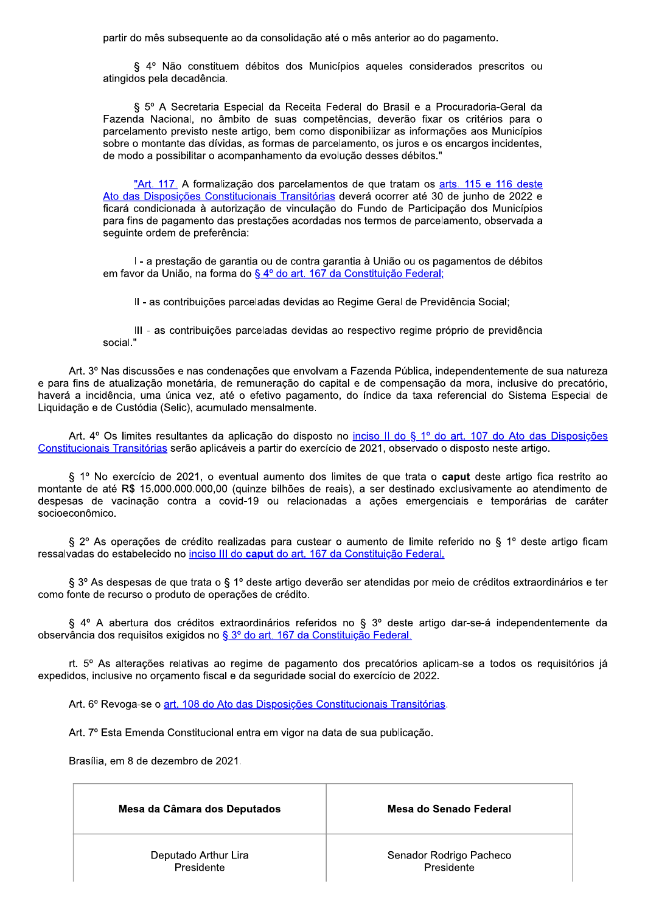partir do mês subsequente ao da consolidação até o mês anterior ao do pagamento.

§ 4º Não constituem débitos dos Municípios aqueles considerados prescritos ou atingidos pela decadência.

§ 5º A Secretaria Especial da Receita Federal do Brasil e a Procuradoria-Geral da Fazenda Nacional, no âmbito de suas competências, deverão fixar os critérios para o parcelamento previsto neste artigo, bem como disponibilizar as informações aos Municípios sobre o montante das dívidas, as formas de parcelamento, os juros e os encargos incidentes, de modo a possibilitar o acompanhamento da evolução desses débitos."

"Art. 117. A formalização dos parcelamentos de que tratam os arts. 115 e 116 deste Ato das Disposições Constitucionais Transitórias deverá ocorrer até 30 de junho de 2022 e ficará condicionada à autorização de vinculação do Fundo de Participação dos Municípios para fins de pagamento das prestações acordadas nos termos de parcelamento, observada a sequinte ordem de preferência:

I - a prestação de garantia ou de contra garantia à União ou os pagamentos de débitos em favor da União, na forma do § 4º do art. 167 da Constituição Federal;

II - as contribuições parceladas devidas ao Regime Geral de Previdência Social;

III - as contribuições parceladas devidas ao respectivo regime próprio de previdência social."

Art. 3º Nas discussões e nas condenações que envolvam a Fazenda Pública, independentemente de sua natureza e para fins de atualização monetária, de remuneração do capital e de compensação da mora, inclusive do precatório, haverá a incidência, uma única vez, até o efetivo pagamento, do índice da taxa referencial do Sistema Especial de Liquidação e de Custódia (Selic), acumulado mensalmente.

Art. 4º Os limites resultantes da aplicação do disposto no inciso II do § 1º do art. 107 do Ato das Disposições Constitucionais Transitórias serão aplicáveis a partir do exercício de 2021, observado o disposto neste artigo.

§ 1º No exercício de 2021, o eventual aumento dos limites de que trata o caput deste artigo fica restrito ao montante de até R\$ 15.000.000.000,00 (quinze bilhões de reais), a ser destinado exclusivamente ao atendimento de despesas de vacinação contra a covid-19 ou relacionadas a ações emergenciais e temporárias de caráter socioeconômico.

§ 2º As operações de crédito realizadas para custear o aumento de limite referido no § 1º deste artigo ficam ressalvadas do estabelecido no inciso III do caput do art. 167 da Constituição Federal.

§ 3º As despesas de que trata o § 1º deste artigo deverão ser atendidas por meio de créditos extraordinários e ter como fonte de recurso o produto de operações de crédito.

§ 4° A abertura dos créditos extraordinários referidos no § 3° deste artigo dar-se-á independentemente da observância dos reguisitos exigidos no § 3º do art. 167 da Constituição Federal.

rt. 5º As alterações relativas ao regime de pagamento dos precatórios aplicam-se a todos os requisitórios já expedidos, inclusive no orcamento fiscal e da seguridade social do exercício de 2022.

Art. 6º Revoga-se o art. 108 do Ato das Disposições Constitucionais Transitórias.

Art. 7º Esta Emenda Constitucional entra em vigor na data de sua publicação.

Brasília, em 8 de dezembro de 2021.

| Mesa da Câmara dos Deputados | Mesa do Senado Federal  |
|------------------------------|-------------------------|
| Deputado Arthur Lira         | Senador Rodrigo Pacheco |
| Presidente                   | Presidente              |